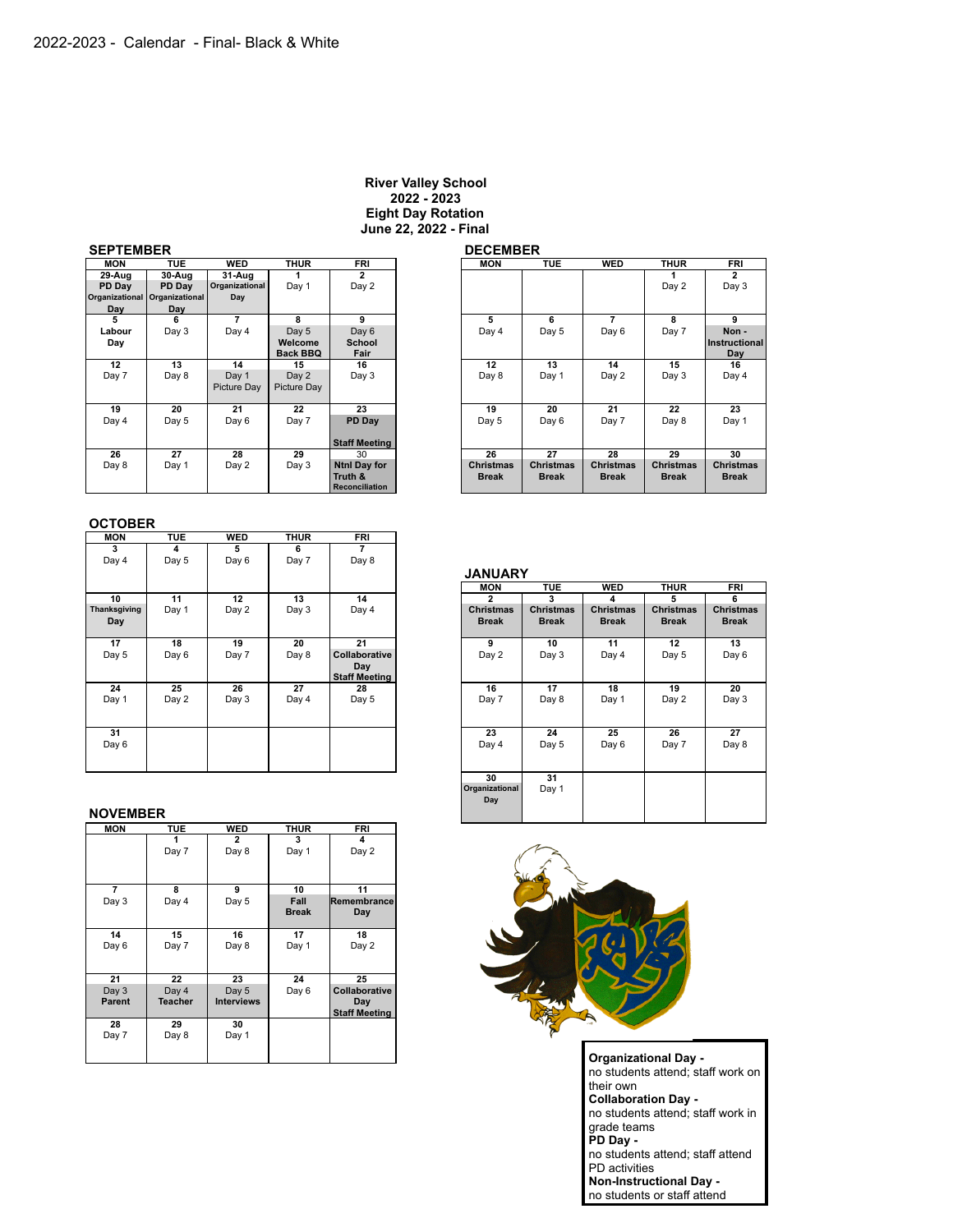#### **River Valley School 2022 - 2023 Eight Day Rotation June 22, 2022 - Final**

# **SEPTEMBER DECEMBER**

| .                     |                |                    |                 |                       |                  |                  |                  |                  |                |
|-----------------------|----------------|--------------------|-----------------|-----------------------|------------------|------------------|------------------|------------------|----------------|
| <b>MON</b>            | <b>TUE</b>     | <b>WED</b>         | <b>THUR</b>     | <b>FRI</b>            | <b>MON</b>       | <b>TUE</b>       | <b>WED</b>       | <b>THUR</b>      | <b>FRI</b>     |
| 29-Aug                | 30-Aug         | 31-Aug             |                 | $\overline{2}$        |                  |                  |                  |                  | $\overline{2}$ |
| PD Dav                | PD Dav         | Organizational     | Day 1           | Day 2                 |                  |                  |                  | Day 2            | Day 3          |
| <b>Organizational</b> | Organizational | Day                |                 |                       |                  |                  |                  |                  |                |
| Day                   | Day            |                    |                 |                       |                  |                  |                  |                  |                |
| 5                     | 6              | 7                  | 8               | 9                     | 5                | 6                | 7                | 8                | 9              |
| Labour                | Day 3          | Day 4              | Day 5           | Day 6                 | Day 4            | Day 5            | Day 6            | Day 7            | Non-           |
| Day                   |                |                    | Welcome         | <b>School</b>         |                  |                  |                  |                  | Instructio     |
|                       |                |                    | <b>Back BBQ</b> | Fair                  |                  |                  |                  |                  | Day            |
| 12                    | 13             | 14                 | 15              | 16                    | 12               | 13               | 14               | 15               | 16             |
| Day 7                 | Day 8          | Day 1              | Day 2           | Day 3                 | Day 8            | Day 1            | Day 2            | Day 3            | Day 4          |
|                       |                | <b>Picture Dav</b> | Picture Day     |                       |                  |                  |                  |                  |                |
|                       |                |                    |                 |                       |                  |                  |                  |                  |                |
| 19                    | 20             | 21                 | 22              | 23                    | 19               | 20               | 21               | 22               | 23             |
| Day 4                 | Day 5          | Day 6              | Day 7           | PD Day                | Day 5            | Day 6            | Day 7            | Day 8            | Day 1          |
|                       |                |                    |                 |                       |                  |                  |                  |                  |                |
|                       |                |                    |                 | <b>Staff Meeting</b>  |                  |                  |                  |                  |                |
| 26                    | 27             | 28                 | 29              | 30                    | 26               | 27               | 28               | 29               | 30             |
| Day 8                 | Day 1          | Day 2              | Day 3           | <b>Ntnl Day for</b>   | <b>Christmas</b> | <b>Christmas</b> | <b>Christmas</b> | <b>Christmas</b> | Christma       |
|                       |                |                    |                 | Truth &               | <b>Break</b>     | <b>Break</b>     | <b>Break</b>     | <b>Break</b>     | <b>Break</b>   |
|                       |                |                    |                 | <b>Reconciliation</b> |                  |                  |                  |                  |                |

| <b>TUE</b> | <b>WED</b>  | <b>THUR</b>                                   | <b>FRI</b>            |                       | <b>MON</b>       | <b>TUE</b>       | <b>WED</b>       | <b>THUR</b>      | FRI              |
|------------|-------------|-----------------------------------------------|-----------------------|-----------------------|------------------|------------------|------------------|------------------|------------------|
| 30-Aug     | 31 Aug      |                                               | $\overline{2}$        |                       |                  |                  |                  |                  | $\overline{2}$   |
| PD Day     |             | Day 1                                         | Day 2                 |                       |                  |                  |                  | Day 2            | Day 3            |
|            | Day         |                                               |                       |                       |                  |                  |                  |                  |                  |
| Day        |             |                                               |                       |                       |                  |                  |                  |                  |                  |
| 6          | 7           | 8                                             | 9                     |                       | 5                | 6                | 7                | 8                | 9                |
| Day 3      | Day 4       | Day 5                                         | Day 6                 |                       | Day 4            | Day 5            | Day 6            | Day 7            | Non-             |
|            |             | Welcome                                       | <b>School</b>         |                       |                  |                  |                  |                  | Instructional    |
|            |             | <b>Back BBQ</b>                               | Fair                  |                       |                  |                  |                  |                  | Day              |
| 13         | 14          | 15                                            | 16                    |                       | 12               | 13               | 14               | 15               | 16               |
| Day 8      | Day 1       |                                               |                       |                       |                  | Day 1            |                  | Day 3            | Day 4            |
|            | Picture Day | Picture Day                                   |                       |                       |                  |                  |                  |                  |                  |
|            |             |                                               |                       |                       |                  |                  |                  |                  |                  |
|            |             |                                               |                       |                       |                  | 20               |                  |                  | 23               |
| Day 5      | Day 6       | Day 7                                         |                       |                       | Day 5            | Day 6            | Day 7            | Day 8            | Day 1            |
|            |             |                                               |                       |                       |                  |                  |                  |                  |                  |
|            |             |                                               | <b>Staff Meeting</b>  |                       |                  |                  |                  |                  |                  |
| 27         | 28          | 29                                            | 30                    |                       | 26               | 27               | 28               | 29               | 30               |
| Day 1      | Day 2       | Day 3                                         | <b>Ntnl Day for</b>   |                       | <b>Christmas</b> | <b>Christmas</b> | <b>Christmas</b> | <b>Christmas</b> | <b>Christmas</b> |
|            |             |                                               | Truth &               |                       | <b>Break</b>     | <b>Break</b>     | <b>Break</b>     | <b>Break</b>     | <b>Break</b>     |
|            |             |                                               | <b>Reconciliation</b> |                       |                  |                  |                  |                  |                  |
|            | 20          | Organizational<br><b>Organizational</b><br>21 | Day 2<br>22           | Day 3<br>23<br>PD Day |                  | Day 8<br>19      | ---------        | Day 2<br>21      | 22               |

## **OCTOBER**

| <b>MON</b>   | <b>TUE</b> | <b>WED</b> | <b>THUR</b> | <b>FRI</b>           |                  |                  |                  |                  |                  |
|--------------|------------|------------|-------------|----------------------|------------------|------------------|------------------|------------------|------------------|
| 3            | 4          | 5          | 6           | $\overline{7}$       |                  |                  |                  |                  |                  |
| Day 4        | Day 5      | Day 6      | Day 7       | Day 8                |                  |                  |                  |                  |                  |
|              |            |            |             |                      | <b>JANUARY</b>   |                  |                  |                  |                  |
|              |            |            |             |                      | <b>MON</b>       | <b>TUE</b>       | <b>WED</b>       | <b>THUR</b>      | <b>FRI</b>       |
| 10           | 11         | 12         | 13          | 14                   | $\mathbf{2}$     | 3                | 4                | 5                | 6                |
| Thanksgiving | Day 1      | Day 2      | Day 3       | Day 4                | <b>Christmas</b> | <b>Christmas</b> | <b>Christmas</b> | <b>Christmas</b> | <b>Christmas</b> |
| Day          |            |            |             |                      | <b>Break</b>     | <b>Break</b>     | <b>Break</b>     | <b>Break</b>     | <b>Break</b>     |
|              |            |            |             |                      |                  |                  |                  |                  |                  |
| 17           | 18         | 19         | 20          | 21                   | 9                | 10               | 11               | 12               | 13               |
| Day 5        | Day 6      | Day 7      | Day 8       | Collaborative        | Day 2            | Day 3            | Day 4            | Day 5            | Day 6            |
|              |            |            |             | Day                  |                  |                  |                  |                  |                  |
|              |            |            |             | <b>Staff Meeting</b> |                  |                  |                  |                  |                  |
| 24           | 25         | 26         | 27          | 28                   | 16               | 17               | 18               | 19               | 20               |
| Day 1        | Day 2      | Day 3      | Day 4       | Day 5                | Day 7            | Day 8            | Day 1            | Day 2            | Day 3            |
|              |            |            |             |                      |                  |                  |                  |                  |                  |
|              |            |            |             |                      |                  |                  |                  |                  |                  |
| 31           |            |            |             |                      | 23               | 24               | 25               | 26               | 27               |
| Day 6        |            |            |             |                      | Day 4            | Day 5            | Day 6            | Day 7            | Day 8            |
|              |            |            |             |                      |                  |                  |                  |                  |                  |
|              |            |            |             |                      |                  |                  |                  |                  |                  |

#### **NOVEMBER**

| <b>MON</b>     | <b>TUE</b>     | <b>WED</b>        | <b>THUR</b>  | <b>FRI</b>           |
|----------------|----------------|-------------------|--------------|----------------------|
|                |                | $\mathbf{2}$      | 3            | 4                    |
|                | Day 7          | Day 8             | Day 1        | Day 2                |
|                |                |                   |              |                      |
|                |                |                   |              |                      |
| $\overline{7}$ | 8              | 9                 | 10           | 11                   |
| Day 3          | Day 4          | Day 5             | Fall         | Remembrance          |
|                |                |                   | <b>Break</b> | Day                  |
|                |                |                   |              |                      |
| 14             | 15             | 16                | 17           | 18                   |
| Day 6          | Day 7          | Day 8             | Day 1        | Day 2                |
|                |                |                   |              |                      |
|                |                |                   |              |                      |
| 21             | 22             | 23                | 24           | 25                   |
| Day 3          | Day 4          | Day 5             | Day 6        | Collaborative        |
| <b>Parent</b>  | <b>Teacher</b> | <b>Interviews</b> |              | Day                  |
|                |                |                   |              | <b>Staff Meeting</b> |
| 28             | 29             | 30                |              |                      |
| Day 7          | Day 8          | Day 1             |              |                      |
|                |                |                   |              |                      |
|                |                |                   |              |                      |

# **JANUARY MON TUE WED THUR FRI 30 31 Organizational** Day 1 **Day**



**Organizational Day**  no students attend; staff work on their own **Collaboration Day**  no students attend; staff work in grade teams **PD Day**  no students attend; staff attend PD activities **Non-Instructional Day**  no students or staff attend